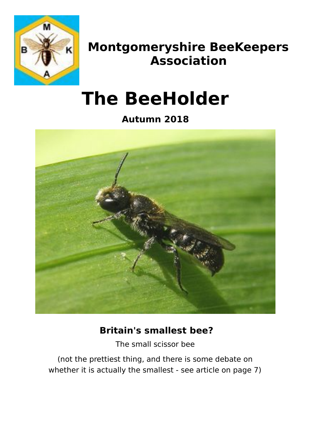

## **Montgomeryshire BeeKeepers Association**

# **The BeeHolder**

**Autumn 2018**



#### **Britain's smallest bee?**

The small scissor bee

(not the prettiest thing, and there is some debate on whether it is actually the smallest - see article on page 7)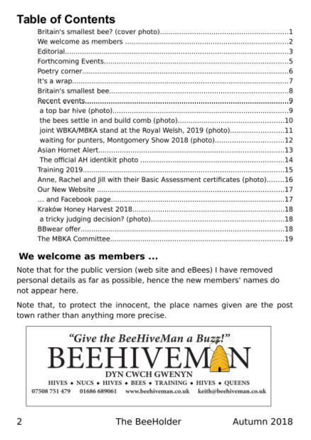### **Table of Contents**

| joint WBKA/MBKA stand at the Royal Welsh, 2019 (photo)11                 |  |
|--------------------------------------------------------------------------|--|
| waiting for punters, Montgomery Show 2018 (photo)12                      |  |
|                                                                          |  |
|                                                                          |  |
|                                                                          |  |
| Anne, Rachel and Jill with their Basic Assessment certificates (photo)16 |  |
|                                                                          |  |
|                                                                          |  |
|                                                                          |  |
|                                                                          |  |
|                                                                          |  |
|                                                                          |  |
|                                                                          |  |

#### We welcome as members ...

Note that for the public version (web site and eBees) I have removed personal details as far as possible, hence the new members' names do not appear here.

Note that, to protect the innocent, the place names given are the post town rather than anything more precise.

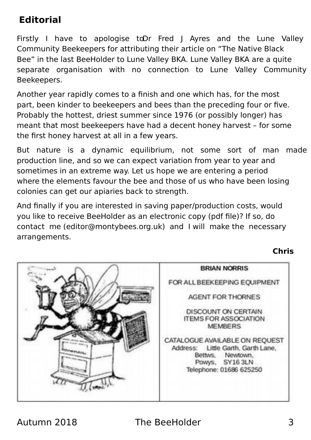#### **Editorial**

Firstly I have to apologise to Dr Fred I Ayres and the Lune Valley Community Beekeepers for attributing their article on "The Native Black Bee" in the last BeeHolder to Lune Valley BKA. Lune Valley BKA are a quite separate organisation with no connection to Lune Valley Community Beekeepers.

Another year rapidly comes to a finish and one which has, for the most part, been kinder to beekeepers and bees than the preceding four or five. Probably the hottest, driest summer since 1976 (or possibly longer) has meant that most beekeepers have had a decent honey harvest – for some the first honey harvest at all in a few years.

But nature is a dynamic equilibrium, not some sort of man made production line, and so we can expect variation from year to year and sometimes in an extreme way. Let us hope we are entering a period where the elements favour the bee and those of us who have been losing colonies can get our apiaries back to strength.

And finally if you are interested in saving paper/production costs, would you like to receive BeeHolder as an electronic copy (pdf file)? If so, do contact me (editor@montybees.org.uk) and I will make the necessary arrangements.

**Chris**

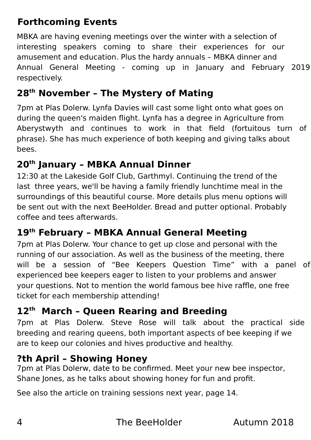### **Forthcoming Events**

MBKA are having evening meetings over the winter with a selection of interesting speakers coming to share their experiences for our amusement and education. Plus the hardy annuals – MBKA dinner and Annual General Meeting - coming up in January and February 2019 respectively.

#### **28th November – The Mystery of Mating**

7pm at Plas Dolerw. Lynfa Davies will cast some light onto what goes on during the queen's maiden flight. Lynfa has a degree in Agriculture from Aberystwyth and continues to work in that field (fortuitous turn of phrase). She has much experience of both keeping and giving talks about bees.

#### **20th January – MBKA Annual Dinner**

12:30 at the Lakeside Golf Club, Garthmyl. Continuing the trend of the last three years, we'll be having a family friendly lunchtime meal in the surroundings of this beautiful course. More details plus menu options will be sent out with the next BeeHolder. Bread and putter optional. Probably coffee and tees afterwards.

#### **19th February – MBKA Annual General Meeting**

7pm at Plas Dolerw. Your chance to get up close and personal with the running of our association. As well as the business of the meeting, there will be a session of "Bee Keepers Question Time" with a panel of experienced bee keepers eager to listen to your problems and answer your questions. Not to mention the world famous bee hive raffle, one free ticket for each membership attending!

#### **12th March – Queen Rearing and Breeding**

7pm at Plas Dolerw. Steve Rose will talk about the practical side breeding and rearing queens, both important aspects of bee keeping if we are to keep our colonies and hives productive and healthy.

#### **?th April – Showing Honey**

7pm at Plas Dolerw, date to be confirmed. Meet your new bee inspector, Shane Jones, as he talks about showing honey for fun and profit.

See also the article on training sessions next year, page 14.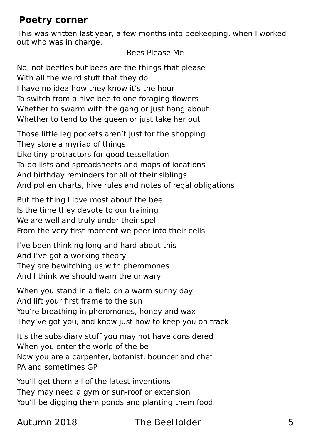#### **Poetry corner**

This was written last year, a few months into beekeeping, when I worked out who was in charge.

Bees Please Me

No, not beetles but bees are the things that please With all the weird stuff that they do I have no idea how they know it's the hour To switch from a hive bee to one foraging flowers Whether to swarm with the gang or just hang about Whether to tend to the queen or just take her out

Those little leg pockets aren't just for the shopping They store a myriad of things Like tiny protractors for good tessellation To-do lists and spreadsheets and maps of locations And birthday reminders for all of their siblings And pollen charts, hive rules and notes of regal obligations

But the thing I love most about the bee Is the time they devote to our training We are well and truly under their spell From the very first moment we peer into their cells

I've been thinking long and hard about this And I've got a working theory They are bewitching us with pheromones And I think we should warn the unwary

When you stand in a field on a warm sunny day And lift your first frame to the sun You're breathing in pheromones, honey and wax They've got you, and know just how to keep you on track

It's the subsidiary stuff you may not have considered When you enter the world of the be Now you are a carpenter, botanist, bouncer and chef PA and sometimes GP

You'll get them all of the latest inventions They may need a gym or sun-roof or extension You'll be digging them ponds and planting them food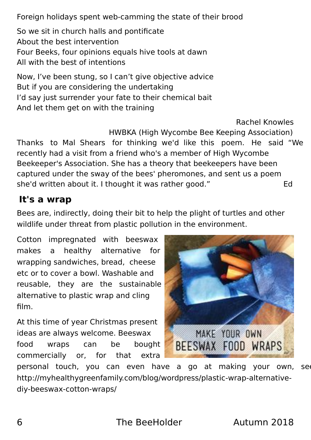Foreign holidays spent web-camming the state of their brood

So we sit in church halls and pontificate About the best intervention Four Beeks, four opinions equals hive tools at dawn All with the best of intentions

Now, I've been stung, so I can't give objective advice But if you are considering the undertaking I'd say just surrender your fate to their chemical bait And let them get on with the training

Rachel Knowles HWBKA (High Wycombe Bee Keeping Association) Thanks to Mal Shears for thinking we'd like this poem. He said "We recently had a visit from a friend who's a member of High Wycombe Beekeeper's Association. She has a theory that beekeepers have been captured under the sway of the bees' pheromones, and sent us a poem she'd written about it. I thought it was rather good." She'd written about it. I thought it was rather good."

#### **It's a wrap**

Bees are, indirectly, doing their bit to help the plight of turtles and other wildlife under threat from plastic pollution in the environment.

Cotton impregnated with beeswax makes a healthy alternative for wrapping sandwiches, bread, cheese etc or to cover a bowl. Washable and reusable, they are the sustainable alternative to plastic wrap and cling film.

At this time of year Christmas present ideas are always welcome. Beeswax food wraps can be bought commercially or, for that extra



personal touch, you can even have a go at making your own, see: http://myhealthygreenfamily.com/blog/wordpress/plastic-wrap-alternativediy-beeswax-cotton-wraps/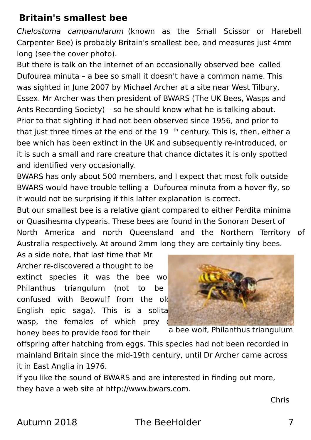#### **Britain's smallest bee**

Chelostoma campanularum (known as the Small Scissor or Harebell Carpenter Bee) is probably Britain's smallest bee, and measures just 4mm long (see the cover photo).

But there is talk on the internet of an occasionally observed bee called Dufourea minuta – a bee so small it doesn't have a common name. This was sighted in June 2007 by Michael Archer at a site near West Tilbury, Essex. Mr Archer was then president of BWARS (The UK Bees, Wasps and Ants Recording Society) – so he should know what he is talking about. Prior to that sighting it had not been observed since 1956, and prior to that just three times at the end of the  $19$ <sup>th</sup> century. This is, then, either a bee which has been extinct in the UK and subsequently re-introduced, or it is such a small and rare creature that chance dictates it is only spotted and identified very occasionally.

BWARS has only about 500 members, and I expect that most folk outside BWARS would have trouble telling a Dufourea minuta from a hover fly, so it would not be surprising if this latter explanation is correct.

But our smallest bee is a relative giant compared to either Perdita minima or Quasihesma clypearis. These bees are found in the Sonoran Desert of North America and north Queensland and the Northern Territory of Australia respectively. At around 2mm long they are certainly tiny bees.

As a side note, that last time that Mr Archer re-discovered a thought to be extinct species it was the bee wo Philanthus triangulum (not to be confused with Beowulf from the old English epic saga). This is a solita wasp, the females of which prey

honey bees to provide food for their



a bee wolf, Philanthus triangulum

offspring after hatching from eggs. This species had not been recorded in mainland Britain since the mid-19th century, until Dr Archer came across it in East Anglia in 1976.

If you like the sound of BWARS and are interested in finding out more, they have a web site at http://www.bwars.com.

Chris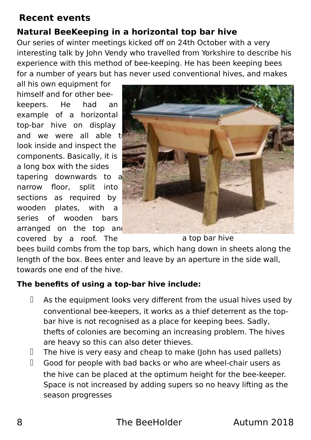#### **Recent events**

#### **Natural BeeKeeping in a horizontal top bar hive**

Our series of winter meetings kicked off on 24th October with a very interesting talk by John Vendy who travelled from Yorkshire to describe his experience with this method of bee-keeping. He has been keeping bees for a number of years but has never used conventional hives, and makes

all his own equipment for himself and for other beekeepers. He had an example of a horizontal top-bar hive on display and we were all able  $t_0$ look inside and inspect the components. Basically, it is a long box with the sides tapering downwards to a narrow floor, split into sections as required by wooden plates, with a series of wooden bars arranged on the top and covered by a roof. The



a top bar hive

bees build combs from the top bars, which hang down in sheets along the length of the box. Bees enter and leave by an aperture in the side wall, towards one end of the hive.

#### **The benefits of using a top-bar hive include:**

- As the equipment looks very different from the usual hives used by conventional bee-keepers, it works as a thief deterrent as the topbar hive is not recognised as a place for keeping bees. Sadly, thefts of colonies are becoming an increasing problem. The hives are heavy so this can also deter thieves.
- $\Box$  The hive is very easy and cheap to make (John has used pallets)
- Good for people with bad backs or who are wheel-chair users as the hive can be placed at the optimum height for the bee-keeper. Space is not increased by adding supers so no heavy lifting as the season progresses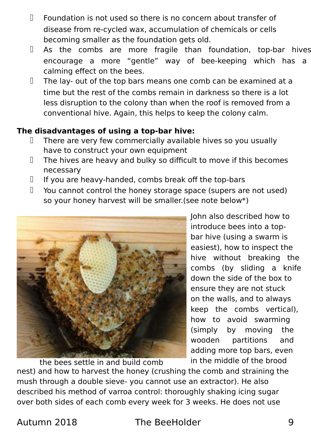- $\Box$  Foundation is not used so there is no concern about transfer of disease from re-cycled wax, accumulation of chemicals or cells becoming smaller as the foundation gets old.
- As the combs are more fragile than foundation, top-bar hives encourage a more "gentle" way of bee-keeping which has a calming effect on the bees.
- $\Box$  The lay- out of the top bars means one comb can be examined at a time but the rest of the combs remain in darkness so there is a lot less disruption to the colony than when the roof is removed from a conventional hive. Again, this helps to keep the colony calm.

#### **The disadvantages of using a top-bar hive:**

- $\Box$  There are very few commercially available hives so you usually have to construct your own equipment
- $\Box$  The hives are heavy and bulky so difficult to move if this becomes necessary
- If you are heavy-handed, combs break off the top-bars
- $\Box$  You cannot control the honey storage space (supers are not used) so your honey harvest will be smaller.(see note below\*)



John also described how to introduce bees into a topbar hive (using a swarm is easiest), how to inspect the hive without breaking the combs (by sliding a knife down the side of the box to ensure they are not stuck on the walls, and to always keep the combs vertical), how to avoid swarming (simply by moving the wooden partitions and adding more top bars, even in the middle of the brood

nest) and how to harvest the honey (crushing the comb and straining the mush through a double sieve- you cannot use an extractor). He also described his method of varroa control: thoroughly shaking icing sugar over both sides of each comb every week for 3 weeks. He does not use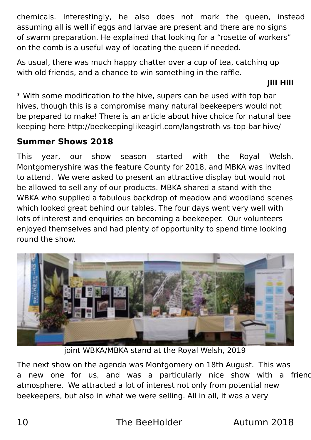chemicals. Interestingly, he also does not mark the queen, instead assuming all is well if eggs and larvae are present and there are no signs of swarm preparation. He explained that looking for a "rosette of workers" on the comb is a useful way of locating the queen if needed.

As usual, there was much happy chatter over a cup of tea, catching up with old friends, and a chance to win something in the raffle.

**Jill Hill**

\* With some modification to the hive, supers can be used with top bar hives, though this is a compromise many natural beekeepers would not be prepared to make! There is an article about hive choice for natural bee keeping here http://beekeepinglikeagirl.com/langstroth-vs-top-bar-hive/

#### **Summer Shows 2018**

This year, our show season started with the Royal Welsh. Montgomeryshire was the feature County for 2018, and MBKA was invited to attend. We were asked to present an attractive display but would not be allowed to sell any of our products. MBKA shared a stand with the WBKA who supplied a fabulous backdrop of meadow and woodland scenes which looked great behind our tables. The four days went very well with lots of interest and enquiries on becoming a beekeeper. Our volunteers enjoyed themselves and had plenty of opportunity to spend time looking round the show.



joint WBKA/MBKA stand at the Royal Welsh, 2019

The next show on the agenda was Montgomery on 18th August. This was a new one for us, and was a particularly nice show with a friend atmosphere. We attracted a lot of interest not only from potential new beekeepers, but also in what we were selling. All in all, it was a very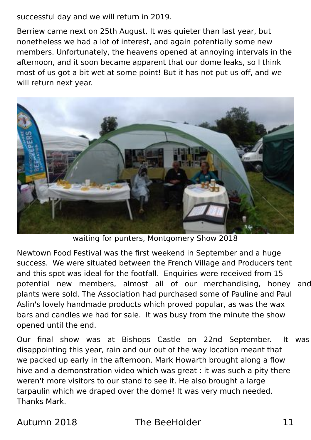successful day and we will return in 2019.

Berriew came next on 25th August. It was quieter than last year, but nonetheless we had a lot of interest, and again potentially some new members. Unfortunately, the heavens opened at annoying intervals in the afternoon, and it soon became apparent that our dome leaks, so I think most of us got a bit wet at some point! But it has not put us off, and we will return next year.



waiting for punters, Montgomery Show 2018

Newtown Food Festival was the first weekend in September and a huge success. We were situated between the French Village and Producers tent and this spot was ideal for the footfall. Enquiries were received from 15 potential new members, almost all of our merchandising, honey and plants were sold. The Association had purchased some of Pauline and Paul Aslin's lovely handmade products which proved popular, as was the wax bars and candles we had for sale. It was busy from the minute the show opened until the end.

Our final show was at Bishops Castle on 22nd September. It was disappointing this year, rain and our out of the way location meant that we packed up early in the afternoon. Mark Howarth brought along a flow hive and a demonstration video which was great : it was such a pity there weren't more visitors to our stand to see it. He also brought a large tarpaulin which we draped over the dome! It was very much needed. Thanks Mark.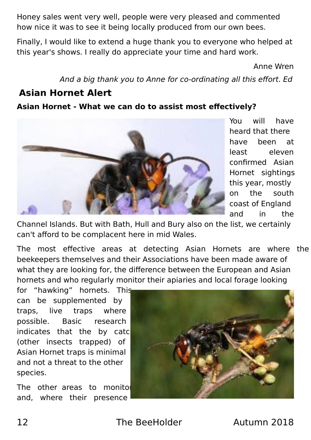Honey sales went very well, people were very pleased and commented how nice it was to see it being locally produced from our own bees.

Finally, I would like to extend a huge thank you to everyone who helped at this year's shows. I really do appreciate your time and hard work.

Anne Wren

And a big thank you to Anne for co-ordinating all this effort. Ed

#### **Asian Hornet Alert**

#### **Asian Hornet - What we can do to assist most effectively?**



You will have heard that there have been at least eleven confirmed Asian Hornet sightings this year, mostly on the south coast of England and in the

Channel Islands. But with Bath, Hull and Bury also on the list, we certainly can't afford to be complacent here in mid Wales.

The most effective areas at detecting Asian Hornets are where the beekeepers themselves and their Associations have been made aware of what they are looking for, the difference between the European and Asian hornets and who regularly monitor their apiaries and local forage looking

for "hawking" hornets. This can be supplemented by traps, live traps where possible. Basic research indicates that the by catc (other insects trapped) of Asian Hornet traps is minimal and not a threat to the other species.

The other areas to monitol and, where their presence

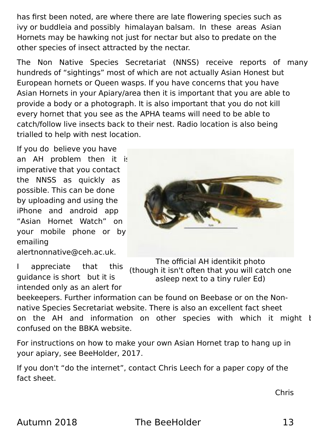has first been noted, are where there are late flowering species such as ivy or buddleia and possibly himalayan balsam. In these areas Asian Hornets may be hawking not just for nectar but also to predate on the other species of insect attracted by the nectar.

The Non Native Species Secretariat (NNSS) receive reports of many hundreds of "sightings" most of which are not actually Asian Honest but European hornets or Queen wasps. If you have concerns that you have Asian Hornets in your Apiary/area then it is important that you are able to provide a body or a photograph. It is also important that you do not kill every hornet that you see as the APHA teams will need to be able to catch/follow live insects back to their nest. Radio location is also being trialled to help with nest location.

If you do believe you have an AH problem then it is imperative that you contact the NNSS as quickly as possible. This can be done by uploading and using the iPhone and android app "Asian Hornet Watch" on your mobile phone or by emailing alertnonnative@ceh.ac.uk.

I appreciate that this guidance is short but it is intended only as an alert for



The official AH identikit photo (though it isn't often that you will catch one asleep next to a tiny ruler Ed)

beekeepers. Further information can be found on Beebase or on the Nonnative Species Secretariat website. There is also an excellent fact sheet on the AH and information on other species with which it might be confused on the BBKA website.

For instructions on how to make your own Asian Hornet trap to hang up in your apiary, see BeeHolder, 2017.

If you don't "do the internet", contact Chris Leech for a paper copy of the fact sheet.

Chris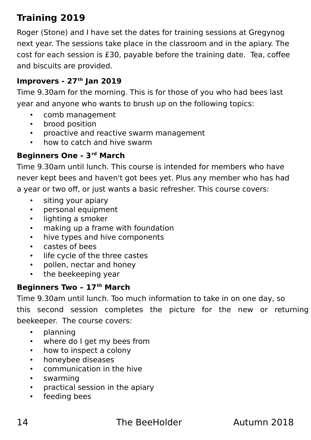### **Training 2019**

Roger (Stone) and I have set the dates for training sessions at Gregynog next year. The sessions take place in the classroom and in the apiary. The cost for each session is £30, payable before the training date. Tea, coffee and biscuits are provided.

#### **Improvers - 27th Jan 2019**

Time 9.30am for the morning. This is for those of you who had bees last year and anyone who wants to brush up on the following topics:

- comb management
- brood position
- proactive and reactive swarm management
- how to catch and hive swarm

#### **Beginners One - 3rd March**

Time 9.30am until lunch. This course is intended for members who have never kept bees and haven't got bees yet. Plus any member who has had a year or two off, or just wants a basic refresher. This course covers:

- siting your apiary
- personal equipment
- lighting a smoker
- making up a frame with foundation
- hive types and hive components
- castes of bees
- life cycle of the three castes
- pollen, nectar and honey
- the beekeeping year

#### **Beginners Two – 17th March**

Time 9.30am until lunch. Too much information to take in on one day, so

this second session completes the picture for the new or returning beekeeper. The course covers:

- planning
- where do I get my bees from
- how to inspect a colony
- honeybee diseases
- communication in the hive
- swarming
- practical session in the apiary
- feeding bees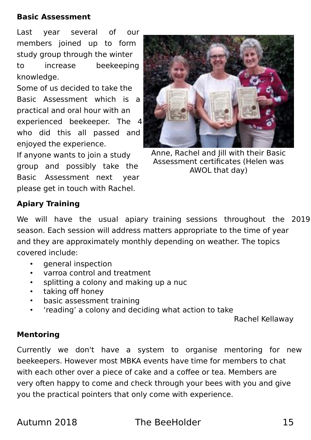#### **Basic Assessment**

Last year several of our members joined up to form study group through the winter to increase beekeeping knowledge.

Some of us decided to take the Basic Assessment which is a practical and oral hour with an experienced beekeeper. The 4 who did this all passed and enjoyed the experience.

If anyone wants to join a study group and possibly take the Basic Assessment next year please get in touch with Rachel.



Anne, Rachel and Jill with their Basic Assessment certificates (Helen was AWOL that day)

#### **Apiary Training**

We will have the usual apiary training sessions throughout the 2019 season. Each session will address matters appropriate to the time of year and they are approximately monthly depending on weather. The topics covered include:

- general inspection
- varroa control and treatment
- splitting a colony and making up a nuc
- taking off honey
- basic assessment training
- 'reading' a colony and deciding what action to take

Rachel Kellaway

#### **Mentoring**

Currently we don't have a system to organise mentoring for new beekeepers. However most MBKA events have time for members to chat with each other over a piece of cake and a coffee or tea. Members are very often happy to come and check through your bees with you and give you the practical pointers that only come with experience.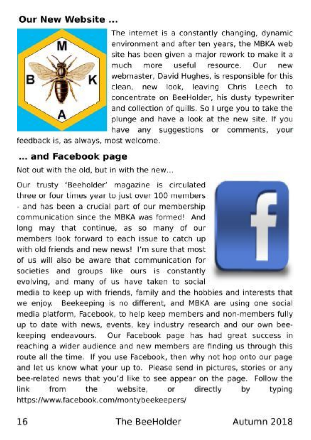#### **Our New Website ...**



The internet is a constantly changing, dynamic environment and after ten years, the MBKA web site has been given a major rework to make it a useful resource. Our much more new webmaster, David Hughes, is responsible for this clean, new look, leaving Chris Leech to concentrate on BeeHolder, his dusty typewriter and collection of quills. So I urge you to take the plunge and have a look at the new site. If you have any suggestions or comments, your

feedback is, as always, most welcome.

#### ... and Facebook page

Not out with the old, but in with the new...

Our trusty 'Beeholder' magazine is circulated three or four times year to just over 100 members - and has been a crucial part of our membership communication since the MBKA was formed! And long may that continue, as so many of our members look forward to each issue to catch up with old friends and new news! I'm sure that most of us will also be aware that communication for societies and groups like ours is constantly evolving, and many of us have taken to social



media to keep up with friends, family and the hobbies and interests that we enjoy. Beekeeping is no different, and MBKA are using one social media platform, Facebook, to help keep members and non-members fully up to date with news, events, key industry research and our own beekeeping endeavours. Our Facebook page has had great success in reaching a wider audience and new members are finding us through this route all the time. If you use Facebook, then why not hop onto our page and let us know what your up to. Please send in pictures, stories or any bee-related news that you'd like to see appear on the page. Follow the link from website. the or. directly by typing https://www.facebook.com/montybeekeepers/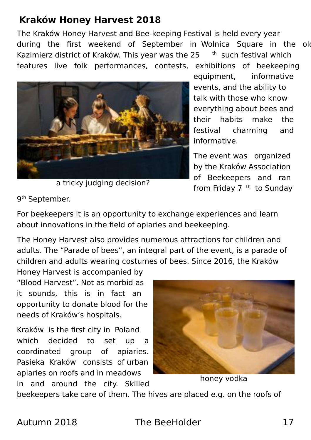#### **Kraków Honey Harvest 2018**

The Kraków Honey Harvest and Bee-keeping Festival is held every year during the first weekend of September in Wolnica Square in the old Kazimierz district of Kraków. This year was the  $25$  th such festival which features live folk performances, contests, exhibitions of beekeeping



a tricky judging decision?

equipment, informative events, and the ability to talk with those who know everything about bees and their habits make the festival charming and informative.

The event was organized by the Kraków Association of Beekeepers and ran from Friday 7 <sup>th</sup> to Sunday

9<sup>th</sup> September.

For beekeepers it is an opportunity to exchange experiences and learn about innovations in the field of apiaries and beekeeping.

The Honey Harvest also provides numerous attractions for children and adults. The "Parade of bees", an integral part of the event, is a parade of children and adults wearing costumes of bees. Since 2016, the Kraków

Honey Harvest is accompanied by "Blood Harvest". Not as morbid as it sounds, this is in fact an opportunity to donate blood for the needs of Kraków's hospitals.

Kraków is the first city in Poland which decided to set up a coordinated group of apiaries. Pasieka Kraków consists of urban apiaries on roofs and in meadows in and around the city. Skilled



honey vodka

beekeepers take care of them. The hives are placed e.g. on the roofs of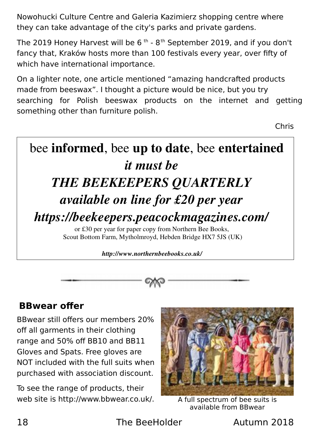Nowohucki Culture Centre and Galeria Kazimierz shopping centre where they can take advantage of the city's parks and private gardens.

The 2019 Honey Harvest will be  $6<sup>th</sup> - 8<sup>th</sup>$  September 2019, and if you don't fancy that, Kraków hosts more than 100 festivals every year, over fifty of which have international importance.

On a lighter note, one article mentioned "amazing handcrafted products made from beeswax". I thought a picture would be nice, but you try searching for Polish beeswax products on the internet and getting something other than furniture polish.

Chris

## bee informed, bee up to date, bee entertained *it must be THE BEEKEEPERS QUARTERLY available on line for £20 per year https://beekeepers.peacockmagazines.com/* or £30 per year for paper copy from Northern Bee Books,

Scout Bottom Farm, Mytholmroyd, Hebden Bridge HX7 5JS (UK)

*http://www.northernbeebooks.co.uk/*

#### **BBwear offer**

BBwear still offers our members 20% off all garments in their clothing range and 50% off BB10 and BB11 Gloves and Spats. Free gloves are NOT included with the full suits when purchased with association discount.

To see the range of products, their web site is http://www.bbwear.co.uk/.



A full spectrum of bee suits is available from BBwear

18 The BeeHolder Autumn 2018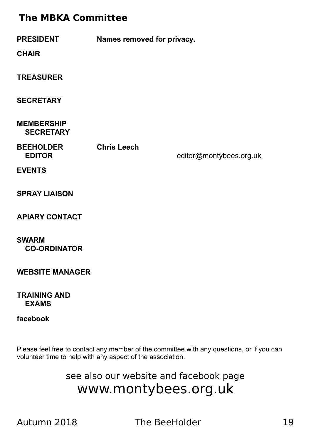#### **The MBKA Committee**

| <b>PRESIDENT</b><br><b>CHAIR</b>      | Names removed for privacy. |                         |  |
|---------------------------------------|----------------------------|-------------------------|--|
| <b>TREASURER</b>                      |                            |                         |  |
| <b>SECRETARY</b>                      |                            |                         |  |
| <b>MEMBERSHIP</b><br><b>SECRETARY</b> |                            |                         |  |
| <b>BEEHOLDER</b><br><b>EDITOR</b>     | <b>Chris Leech</b>         | editor@montybees.org.uk |  |
| <b>EVENTS</b>                         |                            |                         |  |
| <b>SPRAY LIAISON</b>                  |                            |                         |  |
| <b>APIARY CONTACT</b>                 |                            |                         |  |

**SWARM Joe Bidwell CO-ORDINATOR** 

**WEBSITE MANAGER** 

#### **TRAINING AND<br>EXAMS EXAMS** tel: 01686 640917 training@montybees.org.uk

#### $facebook$

Please feel free to contact any member of the committee with any questions, or if you can volunteer time to help with any aspect of the association.

> see also our website and facebook page www.montybees.org.uk